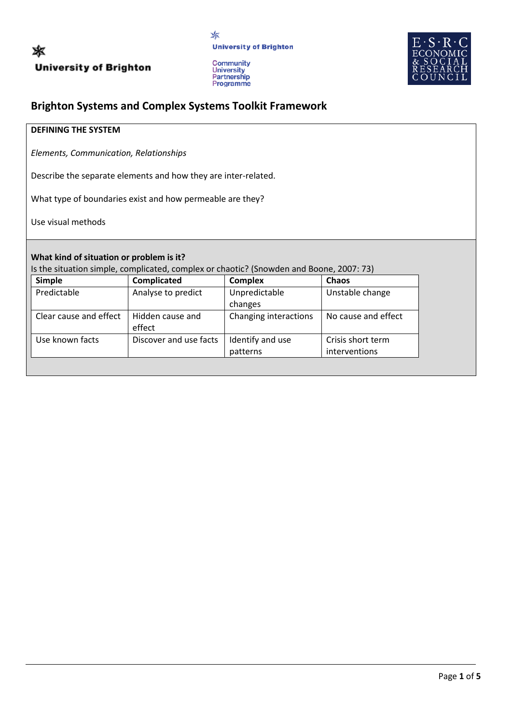



# **Brighton Systems and Complex Systems Toolkit Framework**

## **DEFINING THE SYSTEM**

*Elements, Communication, Relationships*

Describe the separate elements and how they are inter-related.

What type of boundaries exist and how permeable are they?

Use visual methods

## **What kind of situation or problem is it?**

Is the situation simple, complicated, complex or chaotic? (Snowden and Boone, 2007: 73)

| <b>Simple</b>          | Complicated                | <b>Complex</b>        | Chaos               |
|------------------------|----------------------------|-----------------------|---------------------|
| Predictable            | Analyse to predict         | Unpredictable         | Unstable change     |
|                        |                            | changes               |                     |
| Clear cause and effect | Hidden cause and<br>effect | Changing interactions | No cause and effect |
| Use known facts        | Discover and use facts     | Identify and use      | Crisis short term   |
|                        |                            | patterns              | interventions       |
|                        |                            |                       |                     |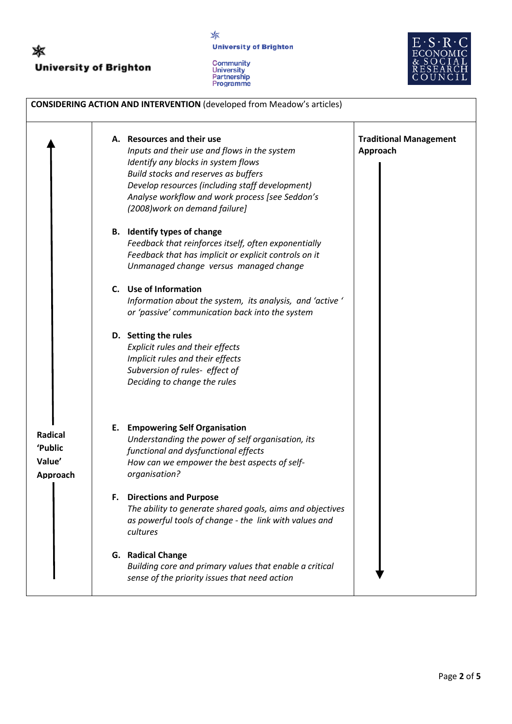

☀ **University of Brighton** 





| <b>CONSIDERING ACTION AND INTERVENTION (developed from Meadow's articles)</b> |                                                                                                                                                                                                                                                                                                   |                                           |  |
|-------------------------------------------------------------------------------|---------------------------------------------------------------------------------------------------------------------------------------------------------------------------------------------------------------------------------------------------------------------------------------------------|-------------------------------------------|--|
|                                                                               | A. Resources and their use<br>Inputs and their use and flows in the system<br>Identify any blocks in system flows<br>Build stocks and reserves as buffers<br>Develop resources (including staff development)<br>Analyse workflow and work process [see Seddon's<br>(2008) work on demand failure] | <b>Traditional Management</b><br>Approach |  |
|                                                                               | B. Identify types of change<br>Feedback that reinforces itself, often exponentially<br>Feedback that has implicit or explicit controls on it<br>Unmanaged change versus managed change                                                                                                            |                                           |  |
|                                                                               | C. Use of Information<br>Information about the system, its analysis, and 'active'<br>or 'passive' communication back into the system                                                                                                                                                              |                                           |  |
|                                                                               | D. Setting the rules<br>Explicit rules and their effects<br>Implicit rules and their effects<br>Subversion of rules- effect of<br>Deciding to change the rules                                                                                                                                    |                                           |  |
| Radical<br>'Public<br>Value'<br>Approach                                      | <b>E.</b> Empowering Self Organisation<br>Understanding the power of self organisation, its<br>functional and dysfunctional effects<br>How can we empower the best aspects of self-<br>organisation?                                                                                              |                                           |  |
|                                                                               | F. Directions and Purpose<br>The ability to generate shared goals, aims and objectives<br>as powerful tools of change - the link with values and<br>cultures                                                                                                                                      |                                           |  |
|                                                                               | G. Radical Change<br>Building core and primary values that enable a critical<br>sense of the priority issues that need action                                                                                                                                                                     |                                           |  |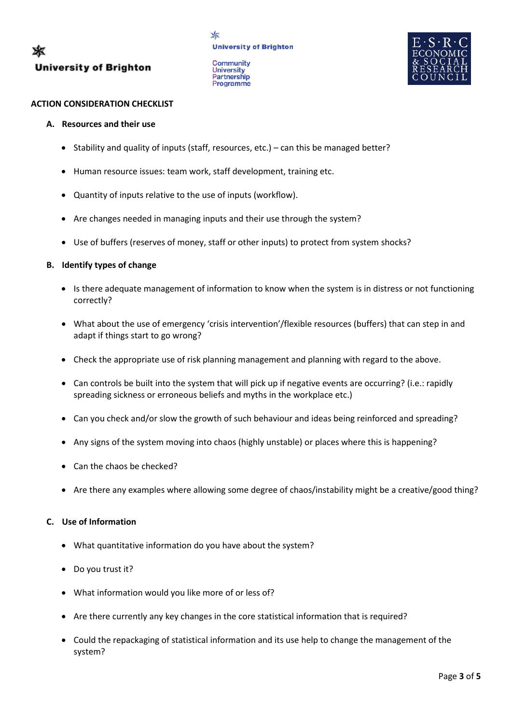**Community** University<br>Partnership Programme



## **ACTION CONSIDERATION CHECKLIST**

## **A. Resources and their use**

- Stability and quality of inputs (staff, resources, etc.) can this be managed better?
- Human resource issues: team work, staff development, training etc.
- Quantity of inputs relative to the use of inputs (workflow).
- Are changes needed in managing inputs and their use through the system?
- Use of buffers (reserves of money, staff or other inputs) to protect from system shocks?

## **B. Identify types of change**

- Is there adequate management of information to know when the system is in distress or not functioning correctly?
- What about the use of emergency 'crisis intervention'/flexible resources (buffers) that can step in and adapt if things start to go wrong?
- Check the appropriate use of risk planning management and planning with regard to the above.
- Can controls be built into the system that will pick up if negative events are occurring? (i.e.: rapidly spreading sickness or erroneous beliefs and myths in the workplace etc.)
- Can you check and/or slow the growth of such behaviour and ideas being reinforced and spreading?
- Any signs of the system moving into chaos (highly unstable) or places where this is happening?
- Can the chaos be checked?
- Are there any examples where allowing some degree of chaos/instability might be a creative/good thing?

## **C. Use of Information**

- What quantitative information do you have about the system?
- Do you trust it?
- What information would you like more of or less of?
- Are there currently any key changes in the core statistical information that is required?
- Could the repackaging of statistical information and its use help to change the management of the system?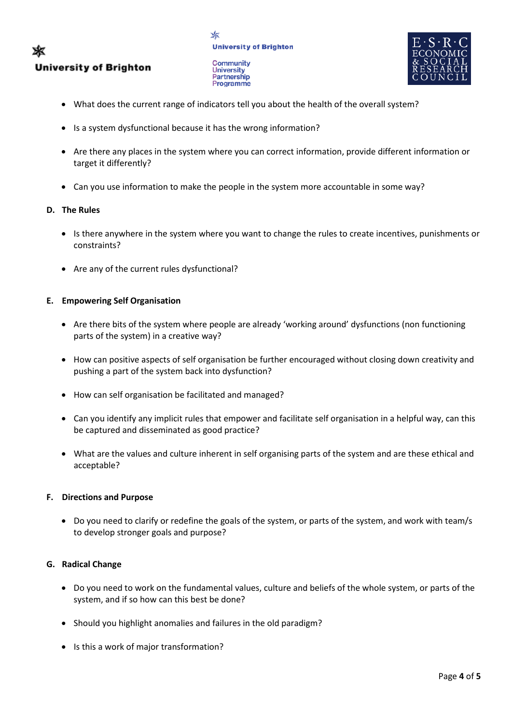#### ✖ **University of Brighton**



**Community University** Partnership **Programme** 



- What does the current range of indicators tell you about the health of the overall system?
- Is a system dysfunctional because it has the wrong information?
- Are there any places in the system where you can correct information, provide different information or target it differently?
- Can you use information to make the people in the system more accountable in some way?

## **D. The Rules**

- Is there anywhere in the system where you want to change the rules to create incentives, punishments or constraints?
- Are any of the current rules dysfunctional?

## **E. Empowering Self Organisation**

- Are there bits of the system where people are already 'working around' dysfunctions (non functioning parts of the system) in a creative way?
- How can positive aspects of self organisation be further encouraged without closing down creativity and pushing a part of the system back into dysfunction?
- How can self organisation be facilitated and managed?
- Can you identify any implicit rules that empower and facilitate self organisation in a helpful way, can this be captured and disseminated as good practice?
- What are the values and culture inherent in self organising parts of the system and are these ethical and acceptable?

## **F. Directions and Purpose**

• Do you need to clarify or redefine the goals of the system, or parts of the system, and work with team/s to develop stronger goals and purpose?

## **G. Radical Change**

- Do you need to work on the fundamental values, culture and beliefs of the whole system, or parts of the system, and if so how can this best be done?
- Should you highlight anomalies and failures in the old paradigm?
- Is this a work of major transformation?